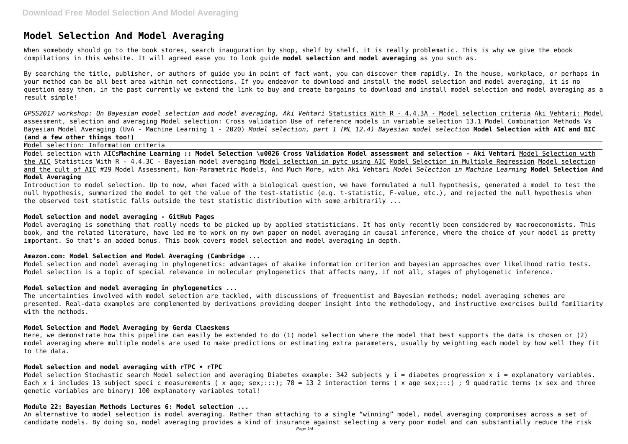# **Model Selection And Model Averaging**

When somebody should go to the book stores, search inauguration by shop, shelf by shelf, it is really problematic. This is why we give the ebook compilations in this website. It will agreed ease you to look guide **model selection and model averaging** as you such as.

By searching the title, publisher, or authors of guide you in point of fact want, you can discover them rapidly. In the house, workplace, or perhaps in your method can be all best area within net connections. If you endeavor to download and install the model selection and model averaging, it is no question easy then, in the past currently we extend the link to buy and create bargains to download and install model selection and model averaging as a result simple!

*GPSS2017 workshop: On Bayesian model selection and model averaging, Aki Vehtari* Statistics With R - 4.4.3A - Model selection criteria Aki Vehtari: Model assessment, selection and averaging Model selection: Cross validation Use of reference models in variable selection 13.1 Model Combination Methods Vs Bayesian Model Averaging (UvA - Machine Learning 1 - 2020) *Model selection, part 1 (ML 12.4) Bayesian model selection* **Model Selection with AIC and BIC (and a few other things too!)**

Model selection: Information criteria

Model selection with AICs**Machine Learning :: Model Selection \u0026 Cross Validation Model assessment and selection - Aki Vehtari** Model Selection with the AIC Statistics With R - 4.4.3C - Bayesian model averaging Model selection in pytc using AIC Model Selection in Multiple Regression Model selection and the cult of AIC #29 Model Assessment, Non-Parametric Models, And Much More, with Aki Vehtari *Model Selection in Machine Learning* **Model Selection And Model Averaging**

Introduction to model selection. Up to now, when faced with a biological question, we have formulated a null hypothesis, generated a model to test the null hypothesis, summarized the model to get the value of the test-statistic (e.g. t-statistic, F-value, etc.), and rejected the null hypothesis when the observed test statistic falls outside the test statistic distribution with some arbitrarily ...

Model selection Stochastic search Model selection and averaging Diabetes example: 342 subjects y i = diabetes progression x i = explanatory variables. Each x i includes 13 subject speci c measurements ( x age; sex;:::); 78 = 13 2 interaction terms ( x age sex;:::) ; 9 quadratic terms ( x sex and three genetic variables are binary) 100 explanatory variables total!

## **Model selection and model averaging - GitHub Pages**

Model averaging is something that really needs to be picked up by applied statisticians. It has only recently been considered by macroeconomists. This book, and the related literature, have led me to work on my own paper on model averaging in causal inference, where the choice of your model is pretty important. So that's an added bonus. This book covers model selection and model averaging in depth.

#### **Amazon.com: Model Selection and Model Averaging (Cambridge ...**

Model selection and model averaging in phylogenetics: advantages of akaike information criterion and bayesian approaches over likelihood ratio tests. Model selection is a topic of special relevance in molecular phylogenetics that affects many, if not all, stages of phylogenetic inference.

## **Model selection and model averaging in phylogenetics ...**

The uncertainties involved with model selection are tackled, with discussions of frequentist and Bayesian methods; model averaging schemes are presented. Real-data examples are complemented by derivations providing deeper insight into the methodology, and instructive exercises build familiarity with the methods.

### **Model Selection and Model Averaging by Gerda Claeskens**

Here, we demonstrate how this pipeline can easily be extended to do (1) model selection where the model that best supports the data is chosen or (2) model averaging where multiple models are used to make predictions or estimating extra parameters, usually by weighting each model by how well they fit to the data.

#### **Model selection and model averaging with rTPC • rTPC**

#### **Module 22: Bayesian Methods Lectures 6: Model selection ...**

An alternative to model selection is model averaging. Rather than attaching to a single "winning" model, model averaging compromises across a set of candidate models. By doing so, model averaging provides a kind of insurance against selecting a very poor model and can substantially reduce the risk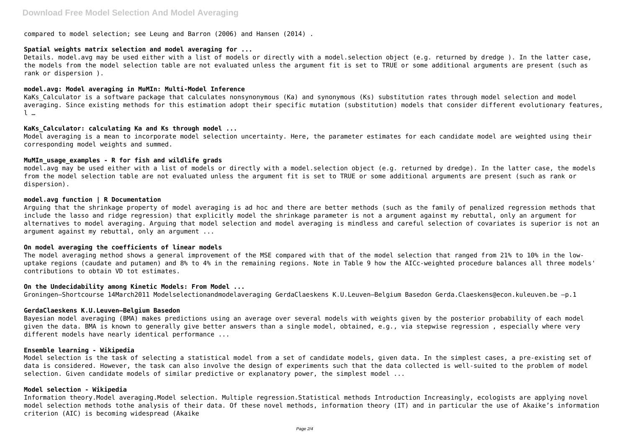compared to model selection; see Leung and Barron (2006) and Hansen (2014) .

#### **Spatial weights matrix selection and model averaging for ...**

Details. model.avg may be used either with a list of models or directly with a model.selection object (e.g. returned by dredge ). In the latter case, the models from the model selection table are not evaluated unless the argument fit is set to TRUE or some additional arguments are present (such as rank or dispersion ).

KaKs Calculator is a software package that calculates nonsynonymous (Ka) and synonymous (Ks) substitution rates through model selection and model averaging. Since existing methods for this estimation adopt their specific mutation (substitution) models that consider different evolutionary features, l …

#### **model.avg: Model averaging in MuMIn: Multi-Model Inference**

#### **KaKs\_Calculator: calculating Ka and Ks through model ...**

Model averaging is a mean to incorporate model selection uncertainty. Here, the parameter estimates for each candidate model are weighted using their corresponding model weights and summed.

#### **MuMIn\_usage\_examples - R for fish and wildlife grads**

model.avg may be used either with a list of models or directly with a model.selection object (e.g. returned by dredge). In the latter case, the models from the model selection table are not evaluated unless the argument fit is set to TRUE or some additional arguments are present (such as rank or dispersion).

Bayesian model averaging (BMA) makes predictions using an average over several models with weights given by the posterior probability of each model given the data. BMA is known to generally give better answers than a single model, obtained, e.g., via stepwise regression , especially where very different models have nearly identical performance ...

#### **model.avg function | R Documentation**

Model selection is the task of selecting a statistical model from a set of candidate models, given data. In the simplest cases, a pre-existing set of data is considered. However, the task can also involve the design of experiments such that the data collected is well-suited to the problem of model selection. Given candidate models of similar predictive or explanatory power, the simplest model ...

Arguing that the shrinkage property of model averaging is ad hoc and there are better methods (such as the family of penalized regression methods that include the lasso and ridge regression) that explicitly model the shrinkage parameter is not a argument against my rebuttal, only an argument for alternatives to model averaging. Arguing that model selection and model averaging is mindless and careful selection of covariates is superior is not an argument against my rebuttal, only an argument ...

#### **On model averaging the coefficients of linear models**

The model averaging method shows a general improvement of the MSE compared with that of the model selection that ranged from 21% to 10% in the lowuptake regions (caudate and putamen) and 8% to 4% in the remaining regions. Note in Table 9 how the AICc-weighted procedure balances all three models' contributions to obtain VD tot estimates.

# **On the Undecidability among Kinetic Models: From Model ...**

Groningen–Shortcourse 14March2011 Modelselectionandmodelaveraging GerdaClaeskens K.U.Leuven–Belgium Basedon Gerda.Claeskens@econ.kuleuven.be –p.1

#### **GerdaClaeskens K.U.Leuven–Belgium Basedon**

#### **Ensemble learning - Wikipedia**

# **Model selection - Wikipedia**

Information theory.Model averaging.Model selection. Multiple regression.Statistical methods Introduction Increasingly, ecologists are applying novel model selection methods tothe analysis of their data. Of these novel methods, information theory (IT) and in particular the use of Akaike's information criterion (AIC) is becoming widespread (Akaike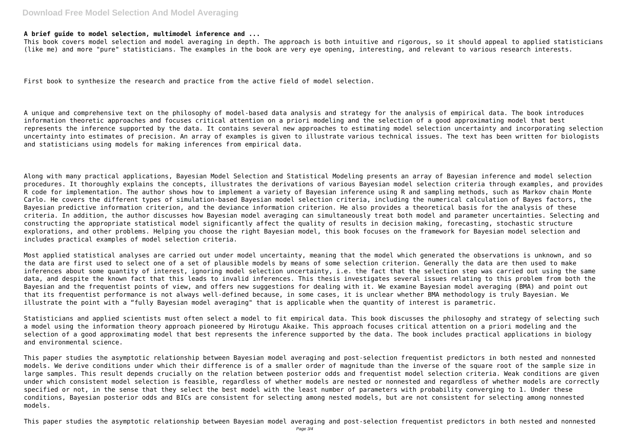# **Download Free Model Selection And Model Averaging**

#### **A brief guide to model selection, multimodel inference and ...**

This book covers model selection and model averaging in depth. The approach is both intuitive and rigorous, so it should appeal to applied statisticians (like me) and more "pure" statisticians. The examples in the book are very eye opening, interesting, and relevant to various research interests.

First book to synthesize the research and practice from the active field of model selection.

A unique and comprehensive text on the philosophy of model-based data analysis and strategy for the analysis of empirical data. The book introduces information theoretic approaches and focuses critical attention on a priori modeling and the selection of a good approximating model that best represents the inference supported by the data. It contains several new approaches to estimating model selection uncertainty and incorporating selection uncertainty into estimates of precision. An array of examples is given to illustrate various technical issues. The text has been written for biologists and statisticians using models for making inferences from empirical data.

Along with many practical applications, Bayesian Model Selection and Statistical Modeling presents an array of Bayesian inference and model selection procedures. It thoroughly explains the concepts, illustrates the derivations of various Bayesian model selection criteria through examples, and provides R code for implementation. The author shows how to implement a variety of Bayesian inference using R and sampling methods, such as Markov chain Monte Carlo. He covers the different types of simulation-based Bayesian model selection criteria, including the numerical calculation of Bayes factors, the Bayesian predictive information criterion, and the deviance information criterion. He also provides a theoretical basis for the analysis of these criteria. In addition, the author discusses how Bayesian model averaging can simultaneously treat both model and parameter uncertainties. Selecting and constructing the appropriate statistical model significantly affect the quality of results in decision making, forecasting, stochastic structure explorations, and other problems. Helping you choose the right Bayesian model, this book focuses on the framework for Bayesian model selection and includes practical examples of model selection criteria.

Most applied statistical analyses are carried out under model uncertainty, meaning that the model which generated the observations is unknown, and so the data are first used to select one of a set of plausible models by means of some selection criterion. Generally the data are then used to make inferences about some quantity of interest, ignoring model selection uncertainty, i.e. the fact that the selection step was carried out using the same data, and despite the known fact that this leads to invalid inferences. This thesis investigates several issues relating to this problem from both the Bayesian and the frequentist points of view, and offers new suggestions for dealing with it. We examine Bayesian model averaging (BMA) and point out that its frequentist performance is not always well-defined because, in some cases, it is unclear whether BMA methodology is truly Bayesian. We illustrate the point with a "fully Bayesian model averaging" that is applicable when the quantity of interest is parametric.

Statisticians and applied scientists must often select a model to fit empirical data. This book discusses the philosophy and strategy of selecting such a model using the information theory approach pioneered by Hirotugu Akaike. This approach focuses critical attention on a priori modeling and the selection of a good approximating model that best represents the inference supported by the data. The book includes practical applications in biology and environmental science.

This paper studies the asymptotic relationship between Bayesian model averaging and post-selection frequentist predictors in both nested and nonnested models. We derive conditions under which their difference is of a smaller order of magnitude than the inverse of the square root of the sample size in large samples. This result depends crucially on the relation between posterior odds and frequentist model selection criteria. Weak conditions are given under which consistent model selection is feasible, regardless of whether models are nested or nonnested and regardless of whether models are correctly specified or not, in the sense that they select the best model with the least number of parameters with probability converging to 1. Under these conditions, Bayesian posterior odds and BICs are consistent for selecting among nested models, but are not consistent for selecting among nonnested models.

This paper studies the asymptotic relationship between Bayesian model averaging and post-selection frequentist predictors in both nested and nonnested